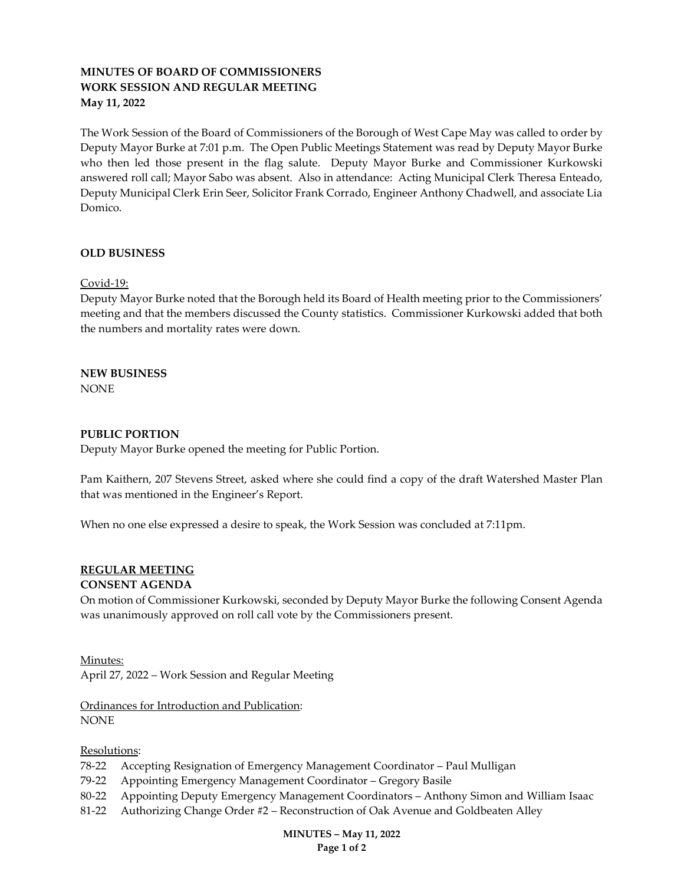# MINUTES OF BOARD OF COMMISSIONERS WORK SESSION AND REGULAR MEETING May 11, 2022

The Work Session of the Board of Commissioners of the Borough of West Cape May was called to order by Deputy Mayor Burke at 7:01 p.m. The Open Public Meetings Statement was read by Deputy Mayor Burke who then led those present in the flag salute. Deputy Mayor Burke and Commissioner Kurkowski answered roll call; Mayor Sabo was absent. Also in attendance: Acting Municipal Clerk Theresa Enteado, Deputy Municipal Clerk Erin Seer, Solicitor Frank Corrado, Engineer Anthony Chadwell, and associate Lia Domico.

## OLD BUSINESS

Covid-19:

Deputy Mayor Burke noted that the Borough held its Board of Health meeting prior to the Commissioners' meeting and that the members discussed the County statistics. Commissioner Kurkowski added that both the numbers and mortality rates were down.

NEW BUSINESS NONE

## PUBLIC PORTION

Deputy Mayor Burke opened the meeting for Public Portion.

Pam Kaithern, 207 Stevens Street, asked where she could find a copy of the draft Watershed Master Plan that was mentioned in the Engineer's Report.

When no one else expressed a desire to speak, the Work Session was concluded at 7:11pm.

## REGULAR MEETING

#### CONSENT AGENDA

On motion of Commissioner Kurkowski, seconded by Deputy Mayor Burke the following Consent Agenda was unanimously approved on roll call vote by the Commissioners present.

Minutes: April 27, 2022 – Work Session and Regular Meeting

Ordinances for Introduction and Publication: NONE

#### Resolutions:

- 78-22 Accepting Resignation of Emergency Management Coordinator Paul Mulligan
- 79-22 Appointing Emergency Management Coordinator Gregory Basile
- 80-22 Appointing Deputy Emergency Management Coordinators Anthony Simon and William Isaac
- 81-22 Authorizing Change Order #2 Reconstruction of Oak Avenue and Goldbeaten Alley